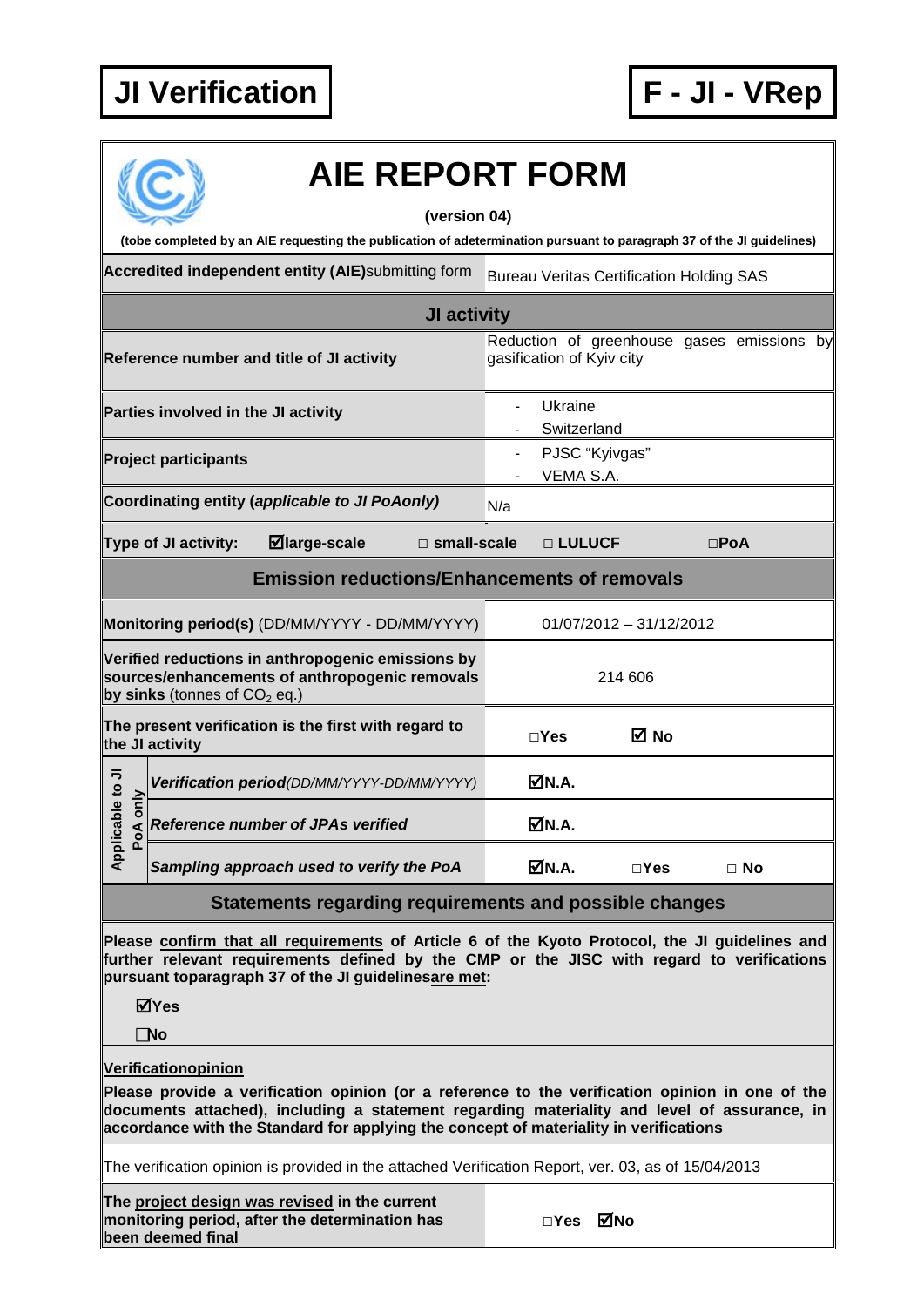## **JI Verification F - JI - VRep**



# **AIE REPORT FORM**

#### **(version 04)**

**(tobe completed by an AIE requesting the publication of adetermination pursuant to paragraph 37 of the JI guidelines)**

Accredited independent entity (AIE)submitting form Bureau Veritas Certification Holding SAS

|                                                                                                                                       |                                     |                                                      | JI activity           |     |                             |                                            |               |           |  |
|---------------------------------------------------------------------------------------------------------------------------------------|-------------------------------------|------------------------------------------------------|-----------------------|-----|-----------------------------|--------------------------------------------|---------------|-----------|--|
|                                                                                                                                       |                                     | Reference number and title of JI activity            |                       |     | gasification of Kyiv city   | Reduction of greenhouse gases emissions by |               |           |  |
|                                                                                                                                       | Parties involved in the JI activity |                                                      |                       |     | Ukraine<br>Switzerland      |                                            |               |           |  |
|                                                                                                                                       | <b>Project participants</b>         |                                                      |                       |     | PJSC "Kyivgas"<br>VEMA S.A. |                                            |               |           |  |
|                                                                                                                                       |                                     | Coordinating entity (applicable to JI PoAonly)       |                       | N/a |                             |                                            |               |           |  |
|                                                                                                                                       | <b>Type of JI activity:</b>         | $\boxdot$ large-scale                                | $\square$ small-scale |     | □ LULUCF                    |                                            | $\square$ PoA |           |  |
|                                                                                                                                       |                                     | <b>Emission reductions/Enhancements of removals</b>  |                       |     |                             |                                            |               |           |  |
|                                                                                                                                       |                                     | Monitoring period(s) (DD/MM/YYYY - DD/MM/YYYY)       |                       |     |                             | $01/07/2012 - 31/12/2012$                  |               |           |  |
| Verified reductions in anthropogenic emissions by<br>sources/enhancements of anthropogenic removals<br>by sinks (tonnes of $CO2$ eq.) |                                     |                                                      | 214 606               |     |                             |                                            |               |           |  |
|                                                                                                                                       | the JI activity                     | The present verification is the first with regard to |                       |     | $\Box$ Yes                  | ⊠ No                                       |               |           |  |
|                                                                                                                                       |                                     | Verification period(DD/MM/YYYY-DD/MM/YYYY)           |                       |     | MN.A.                       |                                            |               |           |  |
| Applicable to JI<br>PoA only                                                                                                          |                                     | <b>Reference number of JPAs verified</b>             |                       |     | <b>ØN.A.</b>                |                                            |               |           |  |
|                                                                                                                                       |                                     | Sampling approach used to verify the PoA             |                       |     | MN.A.                       | $\sqcap$ Yes                               |               | $\Box$ No |  |

*Reference number of JPAs verified* ■ N.A. *Sampling approach used to verify the PoA* **N.A. □Yes □ No**

### **Statements regarding requirements and possible changes**

**Please confirm that all requirements of Article 6 of the Kyoto Protocol, the JI guidelines and further relevant requirements defined by the CMP or the JISC with regard to verifications pursuant toparagraph 37 of the JI guidelinesare met:**

**Yes**

**No**

#### **Verificationopinion**

**Please provide a verification opinion (or a reference to the verification opinion in one of the documents attached), including a statement regarding materiality and level of assurance, in accordance with the Standard for applying the concept of materiality in verifications**

The verification opinion is provided in the attached Verification Report, ver. 03, as of 15/04/2013

**The project design was revised in the current monitoring period, after the determination has been deemed final**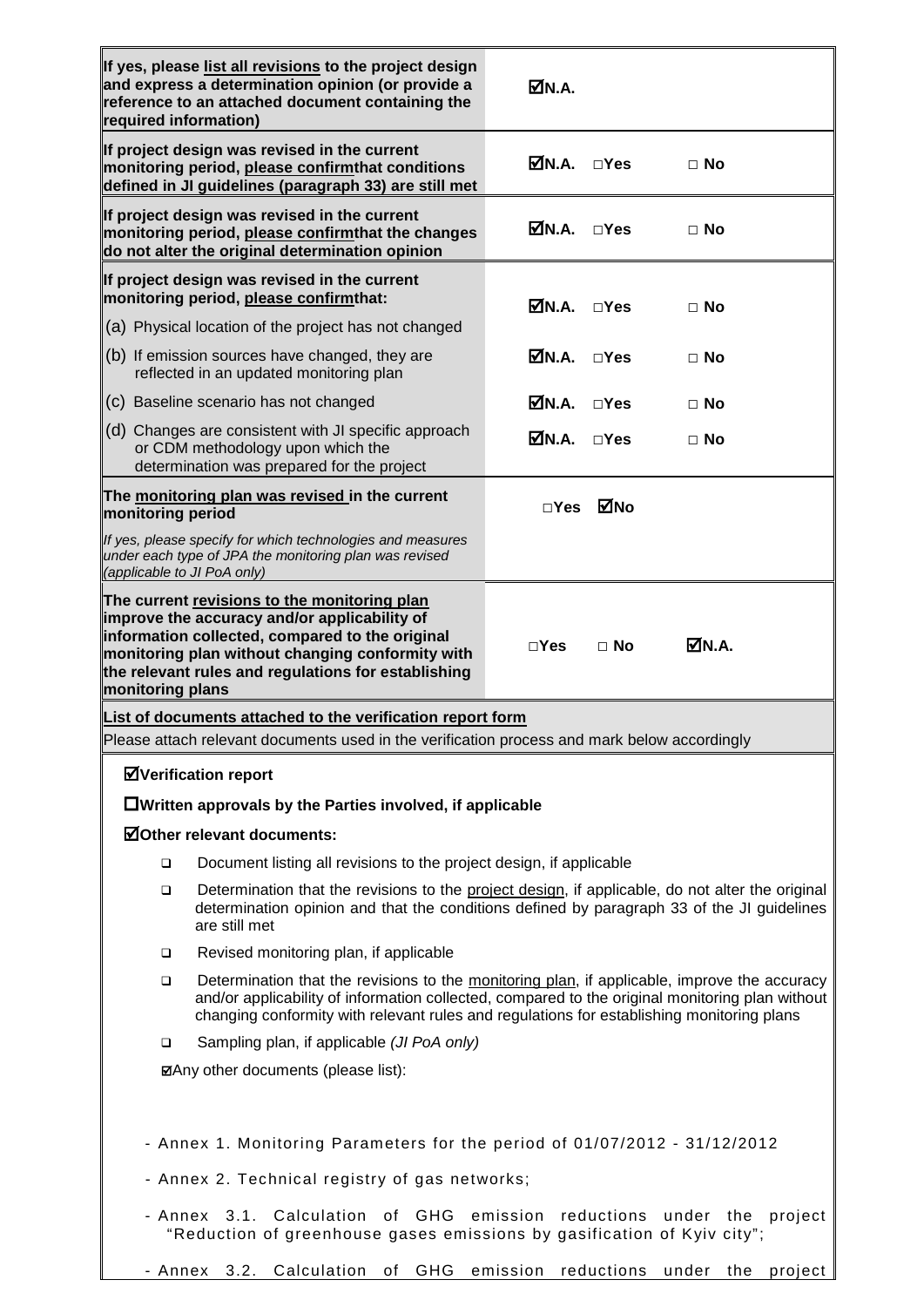| required information)                                                                                                                                                                                                | If yes, please list all revisions to the project design<br>and express a determination opinion (or provide a<br>reference to an attached document containing the                                                                                                                             | ØN.A.       |               |                      |  |  |  |
|----------------------------------------------------------------------------------------------------------------------------------------------------------------------------------------------------------------------|----------------------------------------------------------------------------------------------------------------------------------------------------------------------------------------------------------------------------------------------------------------------------------------------|-------------|---------------|----------------------|--|--|--|
|                                                                                                                                                                                                                      | If project design was revised in the current<br>monitoring period, please confirmthat conditions<br>defined in JI guidelines (paragraph 33) are still met                                                                                                                                    | $MNA.$ DYes |               | $\Box$ No            |  |  |  |
|                                                                                                                                                                                                                      | If project design was revised in the current<br>monitoring period, please confirmthat the changes<br>do not alter the original determination opinion                                                                                                                                         | MN.A.       | $\square$ Yes | $\Box$ No            |  |  |  |
|                                                                                                                                                                                                                      | If project design was revised in the current<br>monitoring period, please confirmthat:                                                                                                                                                                                                       | MN.A.       | $\square$ Yes | $\Box$ No            |  |  |  |
|                                                                                                                                                                                                                      | (a) Physical location of the project has not changed                                                                                                                                                                                                                                         |             |               |                      |  |  |  |
|                                                                                                                                                                                                                      | (b) If emission sources have changed, they are<br>reflected in an updated monitoring plan                                                                                                                                                                                                    | MN.A.       | $\square$ Yes | $\Box$ No            |  |  |  |
|                                                                                                                                                                                                                      | (c) Baseline scenario has not changed                                                                                                                                                                                                                                                        | MN.A.       | $\Box$ Yes    | $\Box$ No            |  |  |  |
|                                                                                                                                                                                                                      | (d) Changes are consistent with JI specific approach<br>or CDM methodology upon which the<br>determination was prepared for the project                                                                                                                                                      | MN.A.       | $\Box$ Yes    | $\Box$ No            |  |  |  |
| monitoring period                                                                                                                                                                                                    | The monitoring plan was revised in the current                                                                                                                                                                                                                                               | $\Box$ Yes  | ⊠No           |                      |  |  |  |
| (applicable to JI PoA only)                                                                                                                                                                                          | If yes, please specify for which technologies and measures<br>under each type of JPA the monitoring plan was revised                                                                                                                                                                         |             |               |                      |  |  |  |
| monitoring plans                                                                                                                                                                                                     | The current revisions to the monitoring plan<br>improve the accuracy and/or applicability of<br>information collected, compared to the original<br>monitoring plan without changing conformity with<br>the relevant rules and regulations for establishing                                   | $\Box$ Yes  | $\Box$ No     | ØN.A.                |  |  |  |
|                                                                                                                                                                                                                      | List of documents attached to the verification report form                                                                                                                                                                                                                                   |             |               |                      |  |  |  |
|                                                                                                                                                                                                                      | Please attach relevant documents used in the verification process and mark below accordingly                                                                                                                                                                                                 |             |               |                      |  |  |  |
|                                                                                                                                                                                                                      | <b>ØVerification report</b>                                                                                                                                                                                                                                                                  |             |               |                      |  |  |  |
|                                                                                                                                                                                                                      | $\Box$ Written approvals by the Parties involved, if applicable                                                                                                                                                                                                                              |             |               |                      |  |  |  |
| <b>ØOther relevant documents:</b>                                                                                                                                                                                    |                                                                                                                                                                                                                                                                                              |             |               |                      |  |  |  |
| Document listing all revisions to the project design, if applicable<br>$\Box$                                                                                                                                        |                                                                                                                                                                                                                                                                                              |             |               |                      |  |  |  |
| Determination that the revisions to the project design, if applicable, do not alter the original<br>❏<br>determination opinion and that the conditions defined by paragraph 33 of the JI guidelines<br>are still met |                                                                                                                                                                                                                                                                                              |             |               |                      |  |  |  |
| ❏                                                                                                                                                                                                                    | Revised monitoring plan, if applicable                                                                                                                                                                                                                                                       |             |               |                      |  |  |  |
| $\Box$                                                                                                                                                                                                               | Determination that the revisions to the monitoring plan, if applicable, improve the accuracy<br>and/or applicability of information collected, compared to the original monitoring plan without<br>changing conformity with relevant rules and regulations for establishing monitoring plans |             |               |                      |  |  |  |
| ▫                                                                                                                                                                                                                    | Sampling plan, if applicable (JI PoA only)                                                                                                                                                                                                                                                   |             |               |                      |  |  |  |
| ⊠Any other documents (please list):                                                                                                                                                                                  |                                                                                                                                                                                                                                                                                              |             |               |                      |  |  |  |
| - Annex 1. Monitoring Parameters for the period of 01/07/2012 - 31/12/2012<br>- Annex 2. Technical registry of gas networks;                                                                                         |                                                                                                                                                                                                                                                                                              |             |               |                      |  |  |  |
| emission reductions under the project<br>- Annex 3.1. Calculation of GHG<br>"Reduction of greenhouse gases emissions by gasification of Kyiv city";                                                                  |                                                                                                                                                                                                                                                                                              |             |               |                      |  |  |  |
|                                                                                                                                                                                                                      | - Annex 3.2. Calculation<br>GHG<br>of                                                                                                                                                                                                                                                        | emission    | reductions    | under the<br>project |  |  |  |